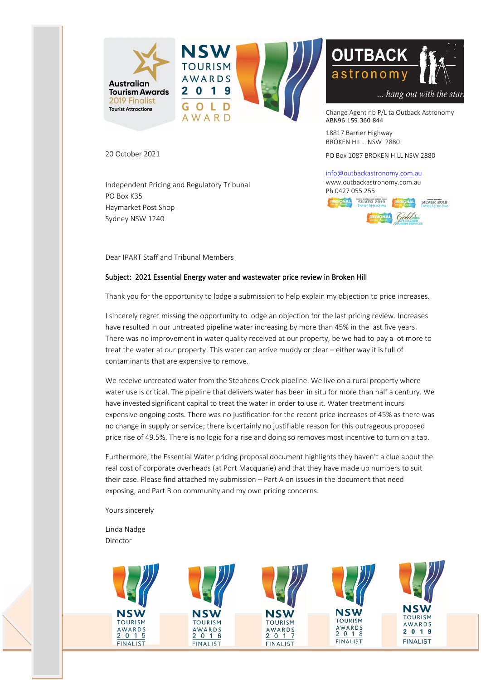

20 October 2021

Independent Pricing and Regulatory Tribunal PO Box K35 Haymarket Post Shop Sydney NSW 1240

Dear IPART Staff and Tribunal Members

#### Subject: 2021 Essential Energy water and wastewater price review in Broken Hill

Thank you for the opportunity to lodge a submission to help explain my objection to price increases.

18817 Barrier Highway BROKEN HILL NSW 2880

Ph 0427 055 255

PO Box 1087 BROKEN HILL NSW 2880

... hang out with the star.

SILVER 2018

info@outbackastronomy.com.au www.outbackastronomy.com.au

JONAL SILVER 2019

I sincerely regret missing the opportunity to lodge an objection for the last pricing review. Increases have resulted in our untreated pipeline water increasing by more than 45% in the last five years. There was no improvement in water quality received at our property, be we had to pay a lot more to treat the water at our property. This water can arrive muddy or clear – either way it is full of contaminants that are expensive to remove.

We receive untreated water from the Stephens Creek pipeline. We live on a rural property where water use is critical. The pipeline that delivers water has been in situ for more than half a century. We have invested significant capital to treat the water in order to use it. Water treatment incurs expensive ongoing costs. There was no justification for the recent price increases of 45% as there was no change in supply or service; there is certainly no justifiable reason for this outrageous proposed price rise of 49.5%. There is no logic for a rise and doing so removes most incentive to turn on a tap.

Furthermore, the Essential Water pricing proposal document highlights they haven't a clue about the real cost of corporate overheads (at Port Macquarie) and that they have made up numbers to suit their case. Please find attached my submission – Part A on issues in the document that need exposing, and Part B on community and my own pricing concerns.

Yours sincerely

Linda Nadge Director

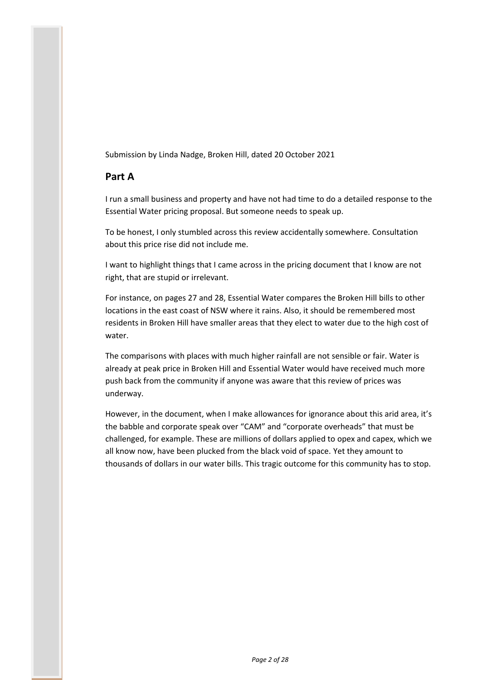Submission by Linda Nadge, Broken Hill, dated 20 October 2021

# **Part A**

I run a small business and property and have not had time to do a detailed response to the Essential Water pricing proposal. But someone needs to speak up.

To be honest, I only stumbled across this review accidentally somewhere. Consultation about this price rise did not include me.

I want to highlight things that I came across in the pricing document that I know are not right, that are stupid or irrelevant.

For instance, on pages 27 and 28, Essential Water compares the Broken Hill bills to other locations in the east coast of NSW where it rains. Also, it should be remembered most residents in Broken Hill have smaller areas that they elect to water due to the high cost of water.

The comparisons with places with much higher rainfall are not sensible or fair. Water is already at peak price in Broken Hill and Essential Water would have received much more push back from the community if anyone was aware that this review of prices was underway.

However, in the document, when I make allowances for ignorance about this arid area, it's the babble and corporate speak over "CAM" and "corporate overheads" that must be challenged, for example. These are millions of dollars applied to opex and capex, which we all know now, have been plucked from the black void of space. Yet they amount to thousands of dollars in our water bills. This tragic outcome for this community has to stop.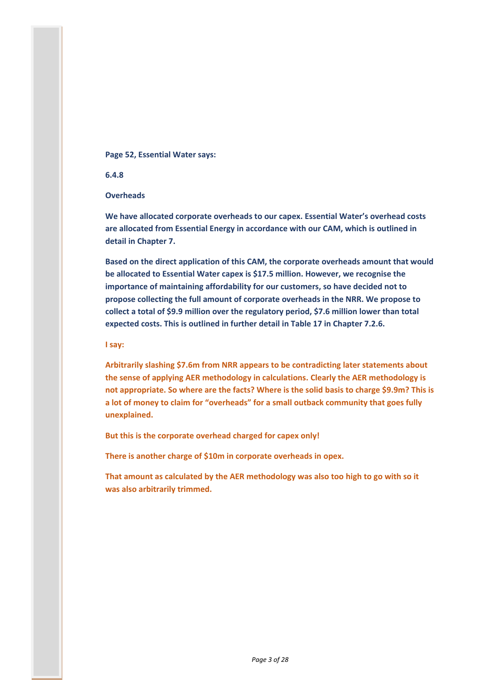## **Page 52, Essential Water says:**

**6.4.8**

**Overheads**

**We have allocated corporate overheads to our capex. Essential Water's overhead costs are allocated from Essential Energy in accordance with our CAM, which is outlined in detail in Chapter 7.**

**Based on the direct application of this CAM, the corporate overheads amount that would be allocated to Essential Water capex is \$17.5 million. However, we recognise the importance of maintaining affordability for our customers, so have decided not to propose collecting the full amount of corporate overheads in the NRR. We propose to collect a total of \$9.9 million over the regulatory period, \$7.6 million lower than total expected costs. This is outlined in further detail in Table 17 in Chapter 7.2.6.**

**I say:**

**Arbitrarily slashing \$7.6m from NRR appears to be contradicting later statements about the sense of applying AER methodology in calculations. Clearly the AER methodology is not appropriate. So where are the facts? Where is the solid basis to charge \$9.9m? This is a lot of money to claim for "overheads" for a small outback community that goes fully unexplained.**

**But this is the corporate overhead charged for capex only!**

**There is another charge of \$10m in corporate overheads in opex.**

**That amount as calculated by the AER methodology was also too high to go with so it was also arbitrarily trimmed.**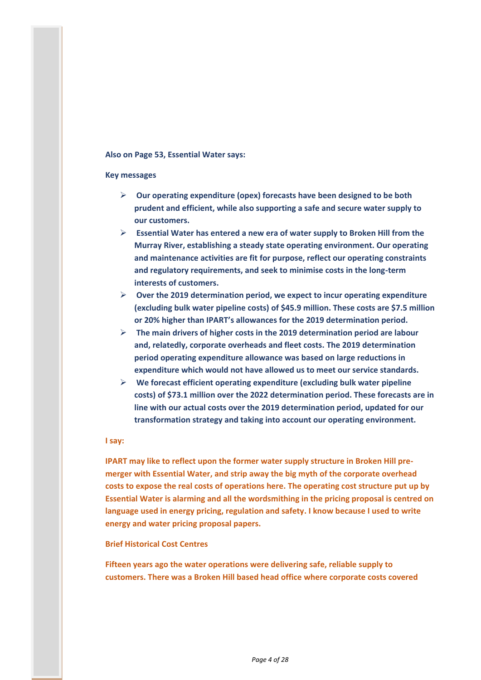## **Also on Page 53, Essential Water says:**

## **Key messages**

- **Our operating expenditure (opex) forecasts have been designed to be both prudent and efficient, while also supporting a safe and secure water supply to our customers.**
- **Essential Water has entered a new era of water supply to Broken Hill from the Murray River, establishing a steady state operating environment. Our operating and maintenance activities are fit for purpose, reflect our operating constraints and regulatory requirements, and seek to minimise costs in the long-term interests of customers.**
- **Over the 2019 determination period, we expect to incur operating expenditure (excluding bulk water pipeline costs) of \$45.9 million. These costs are \$7.5 million or 20% higher than IPART's allowances for the 2019 determination period.**
- **The main drivers of higher costs in the 2019 determination period are labour and, relatedly, corporate overheads and fleet costs. The 2019 determination period operating expenditure allowance was based on large reductions in expenditure which would not have allowed us to meet our service standards.**
- **We forecast efficient operating expenditure (excluding bulk water pipeline costs) of \$73.1 million over the 2022 determination period. These forecasts are in line with our actual costs over the 2019 determination period, updated for our transformation strategy and taking into account our operating environment.**

#### **I say:**

**IPART may like to reflect upon the former water supply structure in Broken Hill premerger with Essential Water, and strip away the big myth of the corporate overhead costs to expose the real costs of operations here. The operating cost structure put up by Essential Water is alarming and all the wordsmithing in the pricing proposal is centred on language used in energy pricing, regulation and safety. I know because I used to write energy and water pricing proposal papers.**

## **Brief Historical Cost Centres**

**Fifteen years ago the water operations were delivering safe, reliable supply to customers. There was a Broken Hill based head office where corporate costs covered**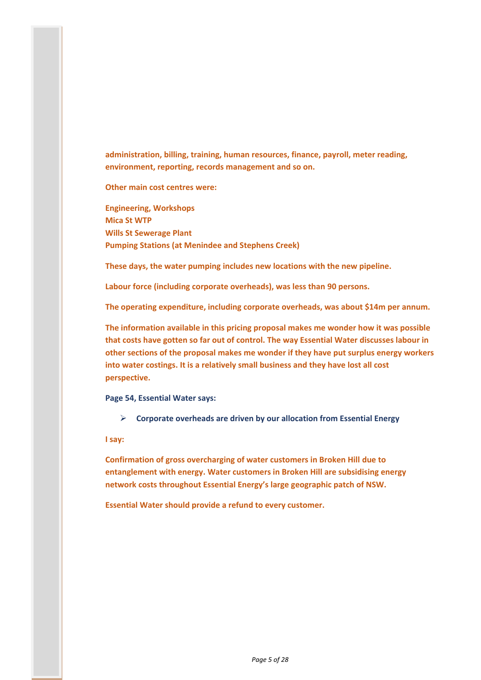**administration, billing, training, human resources, finance, payroll, meter reading, environment, reporting, records management and so on.** 

**Other main cost centres were:**

**Engineering, Workshops Mica St WTP Wills St Sewerage Plant Pumping Stations (at Menindee and Stephens Creek)**

**These days, the water pumping includes new locations with the new pipeline.**

**Labour force (including corporate overheads), was less than 90 persons.**

**The operating expenditure, including corporate overheads, was about \$14m per annum.**

**The information available in this pricing proposal makes me wonder how it was possible that costs have gotten so far out of control. The way Essential Water discusses labour in other sections of the proposal makes me wonder if they have put surplus energy workers into water costings. It is a relatively small business and they have lost all cost perspective.**

**Page 54, Essential Water says:**

**Corporate overheads are driven by our allocation from Essential Energy**

**I say:**

**Confirmation of gross overcharging of water customers in Broken Hill due to entanglement with energy. Water customers in Broken Hill are subsidising energy network costs throughout Essential Energy's large geographic patch of NSW.**

**Essential Water should provide a refund to every customer.**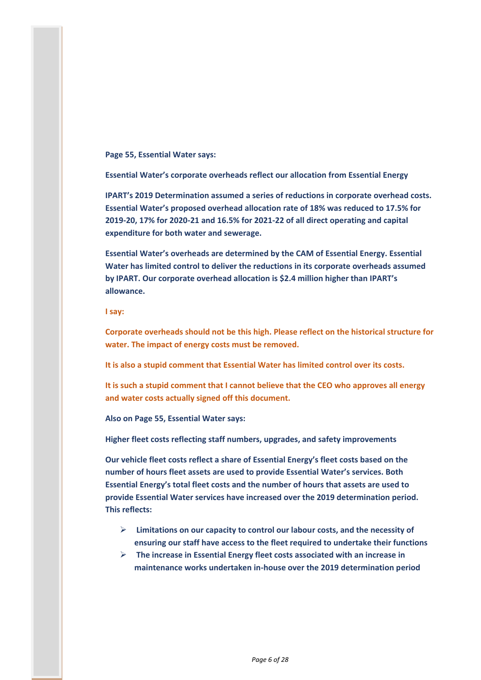**Page 55, Essential Water says:**

**Essential Water's corporate overheads reflect our allocation from Essential Energy**

**IPART's 2019 Determination assumed a series of reductions in corporate overhead costs. Essential Water's proposed overhead allocation rate of 18% was reduced to 17.5% for 2019-20, 17% for 2020-21 and 16.5% for 2021-22 of all direct operating and capital expenditure for both water and sewerage.** 

**Essential Water's overheads are determined by the CAM of Essential Energy. Essential Water has limited control to deliver the reductions in its corporate overheads assumed by IPART. Our corporate overhead allocation is \$2.4 million higher than IPART's allowance.**

**I say:**

**Corporate overheads should not be this high. Please reflect on the historical structure for water. The impact of energy costs must be removed.**

**It is also a stupid comment that Essential Water has limited control over its costs.**

**It is such a stupid comment that I cannot believe that the CEO who approves all energy and water costs actually signed off this document.**

**Also on Page 55, Essential Water says:**

**Higher fleet costs reflecting staff numbers, upgrades, and safety improvements**

**Our vehicle fleet costs reflect a share of Essential Energy's fleet costs based on the number of hours fleet assets are used to provide Essential Water's services. Both Essential Energy's total fleet costs and the number of hours that assets are used to provide Essential Water services have increased over the 2019 determination period. This reflects:**

- **Limitations on our capacity to control our labour costs, and the necessity of ensuring our staff have access to the fleet required to undertake their functions**
- **The increase in Essential Energy fleet costs associated with an increase in maintenance works undertaken in-house over the 2019 determination period**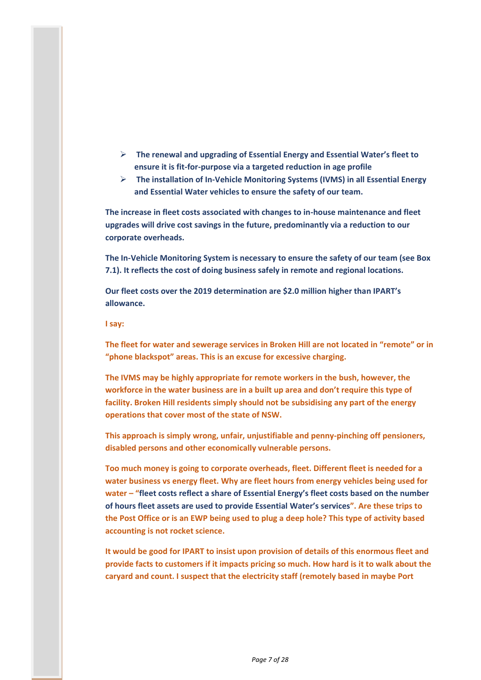- **The renewal and upgrading of Essential Energy and Essential Water's fleet to ensure it is fit-for-purpose via a targeted reduction in age profile**
- **The installation of In-Vehicle Monitoring Systems (IVMS) in all Essential Energy and Essential Water vehicles to ensure the safety of our team.**

**The increase in fleet costs associated with changes to in-house maintenance and fleet upgrades will drive cost savings in the future, predominantly via a reduction to our corporate overheads.**

**The In-Vehicle Monitoring System is necessary to ensure the safety of our team (see Box 7.1). It reflects the cost of doing business safely in remote and regional locations.**

**Our fleet costs over the 2019 determination are \$2.0 million higher than IPART's allowance.**

#### **I say:**

**The fleet for water and sewerage services in Broken Hill are not located in "remote" or in "phone blackspot" areas. This is an excuse for excessive charging.**

**The IVMS may be highly appropriate for remote workers in the bush, however, the workforce in the water business are in a built up area and don't require this type of facility. Broken Hill residents simply should not be subsidising any part of the energy operations that cover most of the state of NSW.**

**This approach is simply wrong, unfair, unjustifiable and penny-pinching off pensioners, disabled persons and other economically vulnerable persons.**

**Too much money is going to corporate overheads, fleet. Different fleet is needed for a water business vs energy fleet. Why are fleet hours from energy vehicles being used for water – "fleet costs reflect a share of Essential Energy's fleet costs based on the number of hours fleet assets are used to provide Essential Water's services". Are these trips to the Post Office or is an EWP being used to plug a deep hole? This type of activity based accounting is not rocket science.**

**It would be good for IPART to insist upon provision of details of this enormous fleet and provide facts to customers if it impacts pricing so much. How hard is it to walk about the caryard and count. I suspect that the electricity staff (remotely based in maybe Port**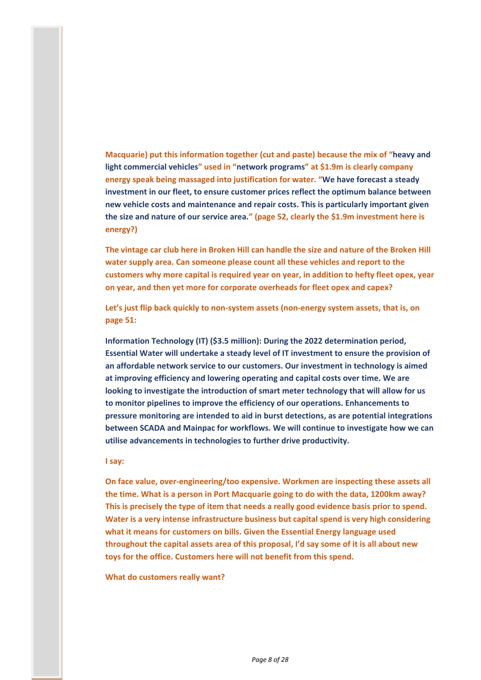**Macquarie) put this information together (cut and paste) because the mix of "heavy and light commercial vehicles" used in "network programs" at \$1.9m is clearly company energy speak being massaged into justification for water. "We have forecast a steady investment in our fleet, to ensure customer prices reflect the optimum balance between new vehicle costs and maintenance and repair costs. This is particularly important given the size and nature of our service area." (page 52, clearly the \$1.9m investment here is energy?)**

**The vintage car club here in Broken Hill can handle the size and nature of the Broken Hill water supply area. Can someone please count all these vehicles and report to the customers why more capital is required year on year, in addition to hefty fleet opex, year on year, and then yet more for corporate overheads for fleet opex and capex?**

**Let's just flip back quickly to non-system assets (non-energy system assets, that is, on page 51:**

**Information Technology (IT) (\$3.5 million): During the 2022 determination period, Essential Water will undertake a steady level of IT investment to ensure the provision of an affordable network service to our customers. Our investment in technology is aimed at improving efficiency and lowering operating and capital costs over time. We are looking to investigate the introduction of smart meter technology that will allow for us to monitor pipelines to improve the efficiency of our operations. Enhancements to pressure monitoring are intended to aid in burst detections, as are potential integrations between SCADA and Mainpac for workflows. We will continue to investigate how we can utilise advancements in technologies to further drive productivity.**

#### **I say:**

**On face value, over-engineering/too expensive. Workmen are inspecting these assets all the time. What is a person in Port Macquarie going to do with the data, 1200km away? This is precisely the type of item that needs a really good evidence basis prior to spend. Water is a very intense infrastructure business but capital spend is very high considering what it means for customers on bills. Given the Essential Energy language used throughout the capital assets area of this proposal, I'd say some of it is all about new toys for the office. Customers here will not benefit from this spend.**

#### **What do customers really want?**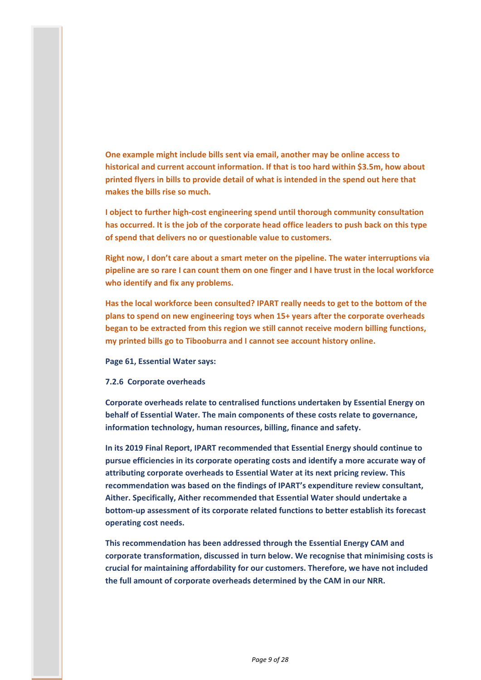**One example might include bills sent via email, another may be online access to historical and current account information. If that is too hard within \$3.5m, how about printed flyers in bills to provide detail of what is intended in the spend out here that makes the bills rise so much.**

**I object to further high-cost engineering spend until thorough community consultation has occurred. It is the job of the corporate head office leaders to push back on this type of spend that delivers no or questionable value to customers.**

**Right now, I don't care about a smart meter on the pipeline. The water interruptions via pipeline are so rare I can count them on one finger and I have trust in the local workforce who identify and fix any problems.**

**Has the local workforce been consulted? IPART really needs to get to the bottom of the plans to spend on new engineering toys when 15+ years after the corporate overheads began to be extracted from this region we still cannot receive modern billing functions, my printed bills go to Tibooburra and I cannot see account history online.**

**Page 61, Essential Water says:**

**7.2.6 Corporate overheads**

**Corporate overheads relate to centralised functions undertaken by Essential Energy on behalf of Essential Water. The main components of these costs relate to governance, information technology, human resources, billing, finance and safety.** 

**In its 2019 Final Report, IPART recommended that Essential Energy should continue to pursue efficiencies in its corporate operating costs and identify a more accurate way of attributing corporate overheads to Essential Water at its next pricing review. This recommendation was based on the findings of IPART's expenditure review consultant, Aither. Specifically, Aither recommended that Essential Water should undertake a bottom-up assessment of its corporate related functions to better establish its forecast operating cost needs.** 

**This recommendation has been addressed through the Essential Energy CAM and corporate transformation, discussed in turn below. We recognise that minimising costs is crucial for maintaining affordability for our customers. Therefore, we have not included the full amount of corporate overheads determined by the CAM in our NRR.**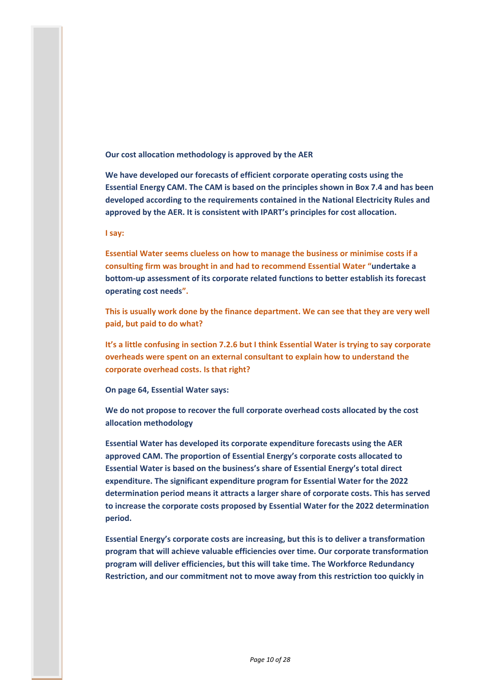**Our cost allocation methodology is approved by the AER**

**We have developed our forecasts of efficient corporate operating costs using the Essential Energy CAM. The CAM is based on the principles shown in Box 7.4 and has been developed according to the requirements contained in the National Electricity Rules and approved by the AER. It is consistent with IPART's principles for cost allocation.**

**I say:**

**Essential Water seems clueless on how to manage the business or minimise costs if a consulting firm was brought in and had to recommend Essential Water "undertake a bottom-up assessment of its corporate related functions to better establish its forecast operating cost needs".**

**This is usually work done by the finance department. We can see that they are very well paid, but paid to do what?**

**It's a little confusing in section 7.2.6 but I think Essential Water is trying to say corporate overheads were spent on an external consultant to explain how to understand the corporate overhead costs. Is that right?**

**On page 64, Essential Water says:**

**We do not propose to recover the full corporate overhead costs allocated by the cost allocation methodology**

**Essential Water has developed its corporate expenditure forecasts using the AER approved CAM. The proportion of Essential Energy's corporate costs allocated to Essential Water is based on the business's share of Essential Energy's total direct expenditure. The significant expenditure program for Essential Water for the 2022 determination period means it attracts a larger share of corporate costs. This has served to increase the corporate costs proposed by Essential Water for the 2022 determination period.**

**Essential Energy's corporate costs are increasing, but this is to deliver a transformation program that will achieve valuable efficiencies over time. Our corporate transformation program will deliver efficiencies, but this will take time. The Workforce Redundancy Restriction, and our commitment not to move away from this restriction too quickly in**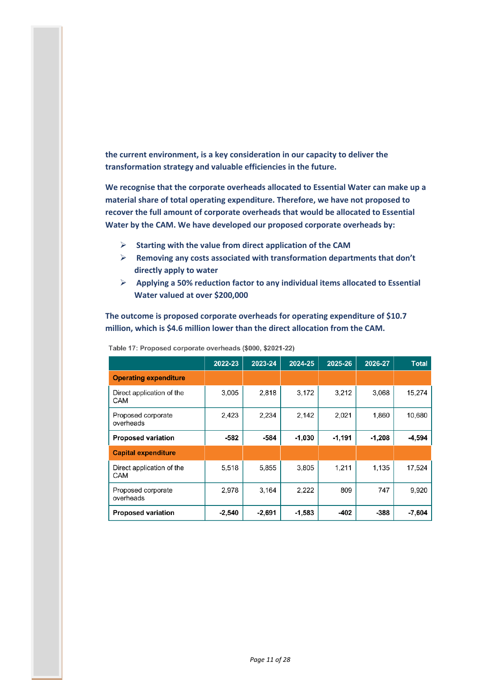**the current environment, is a key consideration in our capacity to deliver the transformation strategy and valuable efficiencies in the future.**

**We recognise that the corporate overheads allocated to Essential Water can make up a material share of total operating expenditure. Therefore, we have not proposed to recover the full amount of corporate overheads that would be allocated to Essential Water by the CAM. We have developed our proposed corporate overheads by:**

- **Starting with the value from direct application of the CAM**
- **Removing any costs associated with transformation departments that don't directly apply to water**
- **Applying a 50% reduction factor to any individual items allocated to Essential Water valued at over \$200,000**

**The outcome is proposed corporate overheads for operating expenditure of \$10.7 million, which is \$4.6 million lower than the direct allocation from the CAM.**

|                                  | 2022-23  | 2023-24  | 2024-25  | 2025-26  | 2026-27  | <b>Total</b> |
|----------------------------------|----------|----------|----------|----------|----------|--------------|
| <b>Operating expenditure</b>     |          |          |          |          |          |              |
| Direct application of the<br>CAM | 3,005    | 2,818    | 3,172    | 3.212    | 3,068    | 15,274       |
| Proposed corporate<br>overheads  | 2,423    | 2.234    | 2.142    | 2,021    | 1,860    | 10,680       |
| <b>Proposed variation</b>        | -582     | -584     | $-1,030$ | $-1,191$ | $-1,208$ | $-4,594$     |
| <b>Capital expenditure</b>       |          |          |          |          |          |              |
| Direct application of the<br>CAM | 5,518    | 5,855    | 3,805    | 1.211    | 1.135    | 17,524       |
| Proposed corporate<br>overheads  | 2,978    | 3.164    | 2,222    | 809      | 747      | 9,920        |
| <b>Proposed variation</b>        | $-2,540$ | $-2,691$ | -1,583   | -402     | -388     | $-7,604$     |

Table 17: Proposed corporate overheads (\$000, \$2021-22)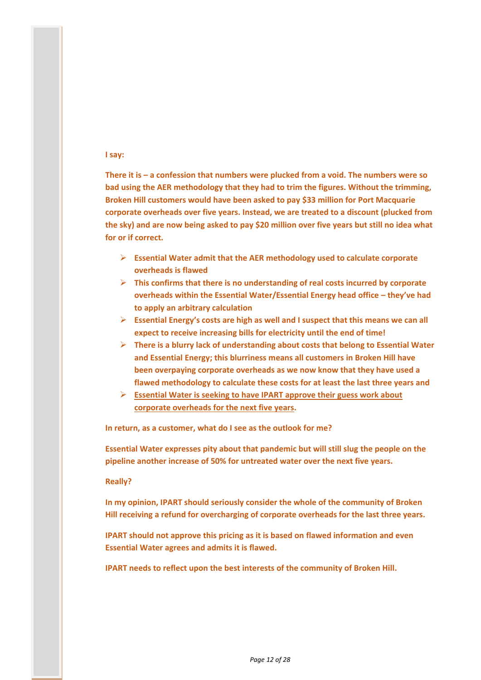## **I say:**

**There it is – a confession that numbers were plucked from a void. The numbers were so bad using the AER methodology that they had to trim the figures. Without the trimming, Broken Hill customers would have been asked to pay \$33 million for Port Macquarie corporate overheads over five years. Instead, we are treated to a discount (plucked from the sky) and are now being asked to pay \$20 million over five years but still no idea what for or if correct.**

- **Essential Water admit that the AER methodology used to calculate corporate overheads is flawed**
- **This confirms that there is no understanding of real costs incurred by corporate overheads within the Essential Water/Essential Energy head office – they've had to apply an arbitrary calculation**
- **Essential Energy's costs are high as well and I suspect that this means we can all expect to receive increasing bills for electricity until the end of time!**
- **There is a blurry lack of understanding about costs that belong to Essential Water and Essential Energy; this blurriness means all customers in Broken Hill have been overpaying corporate overheads as we now know that they have used a flawed methodology to calculate these costs for at least the last three years and**
- **Essential Water is seeking to have IPART approve their guess work about corporate overheads for the next five years.**

**In return, as a customer, what do I see as the outlook for me?**

**Essential Water expresses pity about that pandemic but will still slug the people on the pipeline another increase of 50% for untreated water over the next five years.**

## **Really?**

**In my opinion, IPART should seriously consider the whole of the community of Broken Hill receiving a refund for overcharging of corporate overheads for the last three years.**

**IPART should not approve this pricing as it is based on flawed information and even Essential Water agrees and admits it is flawed.**

**IPART needs to reflect upon the best interests of the community of Broken Hill.**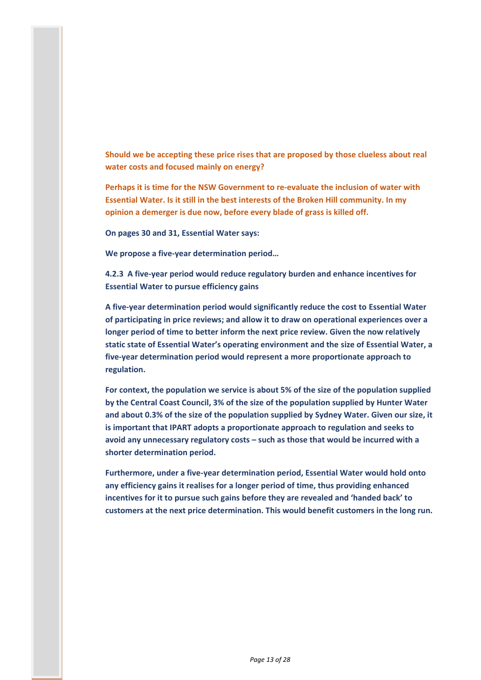**Should we be accepting these price rises that are proposed by those clueless about real water costs and focused mainly on energy?**

**Perhaps it is time for the NSW Government to re-evaluate the inclusion of water with Essential Water. Is it still in the best interests of the Broken Hill community. In my opinion a demerger is due now, before every blade of grass is killed off.**

**On pages 30 and 31, Essential Water says:**

**We propose a five-year determination period…**

**4.2.3 A five-year period would reduce regulatory burden and enhance incentives for Essential Water to pursue efficiency gains**

**A five-year determination period would significantly reduce the cost to Essential Water of participating in price reviews; and allow it to draw on operational experiences over a longer period of time to better inform the next price review. Given the now relatively static state of Essential Water's operating environment and the size of Essential Water, a five-year determination period would represent a more proportionate approach to regulation.** 

**For context, the population we service is about 5% of the size of the population supplied by the Central Coast Council, 3% of the size of the population supplied by Hunter Water and about 0.3% of the size of the population supplied by Sydney Water. Given our size, it is important that IPART adopts a proportionate approach to regulation and seeks to avoid any unnecessary regulatory costs – such as those that would be incurred with a shorter determination period.** 

**Furthermore, under a five-year determination period, Essential Water would hold onto any efficiency gains it realises for a longer period of time, thus providing enhanced incentives for it to pursue such gains before they are revealed and 'handed back' to customers at the next price determination. This would benefit customers in the long run.**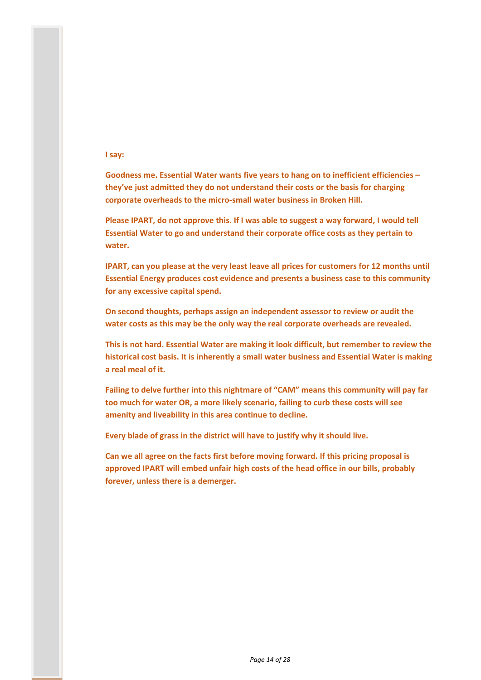## **I say:**

**Goodness me. Essential Water wants five years to hang on to inefficient efficiencies – they've just admitted they do not understand their costs or the basis for charging corporate overheads to the micro-small water business in Broken Hill.**

**Please IPART, do not approve this. If I was able to suggest a way forward, I would tell Essential Water to go and understand their corporate office costs as they pertain to water.**

**IPART, can you please at the very least leave all prices for customers for 12 months until Essential Energy produces cost evidence and presents a business case to this community for any excessive capital spend.**

**On second thoughts, perhaps assign an independent assessor to review or audit the water costs as this may be the only way the real corporate overheads are revealed.**

**This is not hard. Essential Water are making it look difficult, but remember to review the historical cost basis. It is inherently a small water business and Essential Water is making a real meal of it.**

**Failing to delve further into this nightmare of "CAM" means this community will pay far too much for water OR, a more likely scenario, failing to curb these costs will see amenity and liveability in this area continue to decline.**

**Every blade of grass in the district will have to justify why it should live.**

**Can we all agree on the facts first before moving forward. If this pricing proposal is approved IPART will embed unfair high costs of the head office in our bills, probably forever, unless there is a demerger.**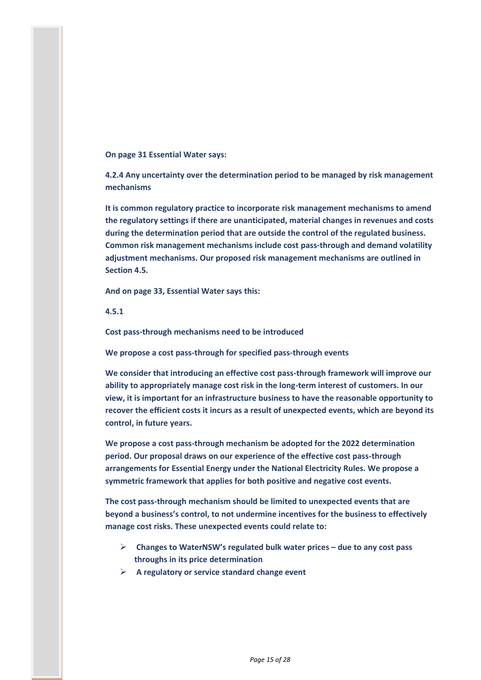## **On page 31 Essential Water says:**

**4.2.4 Any uncertainty over the determination period to be managed by risk management mechanisms**

**It is common regulatory practice to incorporate risk management mechanisms to amend the regulatory settings if there are unanticipated, material changes in revenues and costs during the determination period that are outside the control of the regulated business. Common risk management mechanisms include cost pass-through and demand volatility adjustment mechanisms. Our proposed risk management mechanisms are outlined in Section 4.5.**

**And on page 33, Essential Water says this:**

**4.5.1**

**Cost pass-through mechanisms need to be introduced** 

**We propose a cost pass-through for specified pass-through events**

**We consider that introducing an effective cost pass-through framework will improve our ability to appropriately manage cost risk in the long-term interest of customers. In our view, it is important for an infrastructure business to have the reasonable opportunity to recover the efficient costs it incurs as a result of unexpected events, which are beyond its control, in future years.** 

**We propose a cost pass-through mechanism be adopted for the 2022 determination period. Our proposal draws on our experience of the effective cost pass-through arrangements for Essential Energy under the National Electricity Rules. We propose a symmetric framework that applies for both positive and negative cost events.** 

**The cost pass-through mechanism should be limited to unexpected events that are beyond a business's control, to not undermine incentives for the business to effectively manage cost risks. These unexpected events could relate to:**

- **Changes to WaterNSW's regulated bulk water prices – due to any cost pass throughs in its price determination**
- **A regulatory or service standard change event**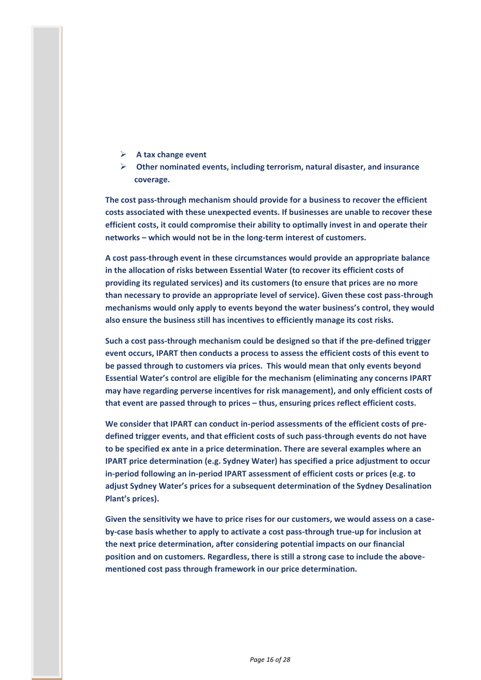- **A tax change event**
- **Other nominated events, including terrorism, natural disaster, and insurance coverage.**

**The cost pass-through mechanism should provide for a business to recover the efficient costs associated with these unexpected events. If businesses are unable to recover these efficient costs, it could compromise their ability to optimally invest in and operate their networks – which would not be in the long-term interest of customers.**

**A cost pass-through event in these circumstances would provide an appropriate balance in the allocation of risks between Essential Water (to recover its efficient costs of providing its regulated services) and its customers (to ensure that prices are no more than necessary to provide an appropriate level of service). Given these cost pass-through mechanisms would only apply to events beyond the water business's control, they would also ensure the business still has incentives to efficiently manage its cost risks.** 

**Such a cost pass-through mechanism could be designed so that if the pre-defined trigger event occurs, IPART then conducts a process to assess the efficient costs of this event to be passed through to customers via prices. This would mean that only events beyond Essential Water's control are eligible for the mechanism (eliminating any concerns IPART may have regarding perverse incentives for risk management), and only efficient costs of that event are passed through to prices – thus, ensuring prices reflect efficient costs.**

**We consider that IPART can conduct in-period assessments of the efficient costs of predefined trigger events, and that efficient costs of such pass-through events do not have to be specified ex ante in a price determination. There are several examples where an IPART price determination (e.g. Sydney Water) has specified a price adjustment to occur in-period following an in-period IPART assessment of efficient costs or prices (e.g. to adjust Sydney Water's prices for a subsequent determination of the Sydney Desalination Plant's prices).** 

**Given the sensitivity we have to price rises for our customers, we would assess on a caseby-case basis whether to apply to activate a cost pass-through true-up for inclusion at the next price determination, after considering potential impacts on our financial position and on customers. Regardless, there is still a strong case to include the abovementioned cost pass through framework in our price determination.**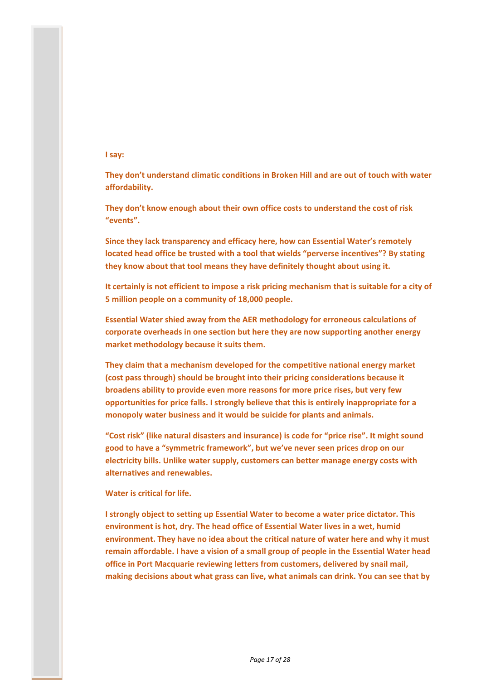## **I say:**

**They don't understand climatic conditions in Broken Hill and are out of touch with water affordability.**

**They don't know enough about their own office costs to understand the cost of risk "events".**

**Since they lack transparency and efficacy here, how can Essential Water's remotely located head office be trusted with a tool that wields "perverse incentives"? By stating they know about that tool means they have definitely thought about using it.**

**It certainly is not efficient to impose a risk pricing mechanism that is suitable for a city of 5 million people on a community of 18,000 people.**

**Essential Water shied away from the AER methodology for erroneous calculations of corporate overheads in one section but here they are now supporting another energy market methodology because it suits them.**

**They claim that a mechanism developed for the competitive national energy market (cost pass through) should be brought into their pricing considerations because it broadens ability to provide even more reasons for more price rises, but very few opportunities for price falls. I strongly believe that this is entirely inappropriate for a monopoly water business and it would be suicide for plants and animals.**

**"Cost risk" (like natural disasters and insurance) is code for "price rise". It might sound good to have a "symmetric framework", but we've never seen prices drop on our electricity bills. Unlike water supply, customers can better manage energy costs with alternatives and renewables.**

**Water is critical for life.**

**I strongly object to setting up Essential Water to become a water price dictator. This environment is hot, dry. The head office of Essential Water lives in a wet, humid environment. They have no idea about the critical nature of water here and why it must remain affordable. I have a vision of a small group of people in the Essential Water head office in Port Macquarie reviewing letters from customers, delivered by snail mail, making decisions about what grass can live, what animals can drink. You can see that by**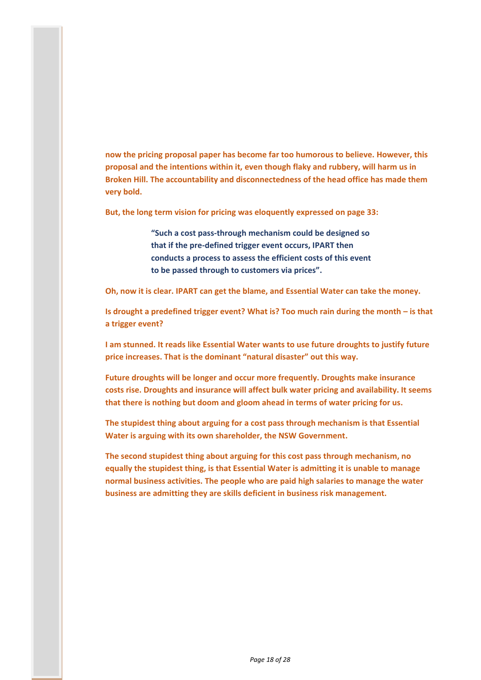**now the pricing proposal paper has become far too humorous to believe. However, this proposal and the intentions within it, even though flaky and rubbery, will harm us in Broken Hill. The accountability and disconnectedness of the head office has made them very bold.**

**But, the long term vision for pricing was eloquently expressed on page 33:**

**"Such a cost pass-through mechanism could be designed so that if the pre-defined trigger event occurs, IPART then conducts a process to assess the efficient costs of this event to be passed through to customers via prices".**

**Oh, now it is clear. IPART can get the blame, and Essential Water can take the money.**

**Is drought a predefined trigger event? What is? Too much rain during the month – is that a trigger event?**

**I am stunned. It reads like Essential Water wants to use future droughts to justify future price increases. That is the dominant "natural disaster" out this way.**

**Future droughts will be longer and occur more frequently. Droughts make insurance costs rise. Droughts and insurance will affect bulk water pricing and availability. It seems that there is nothing but doom and gloom ahead in terms of water pricing for us.**

**The stupidest thing about arguing for a cost pass through mechanism is that Essential Water is arguing with its own shareholder, the NSW Government.**

**The second stupidest thing about arguing for this cost pass through mechanism, no equally the stupidest thing, is that Essential Water is admitting it is unable to manage normal business activities. The people who are paid high salaries to manage the water business are admitting they are skills deficient in business risk management.**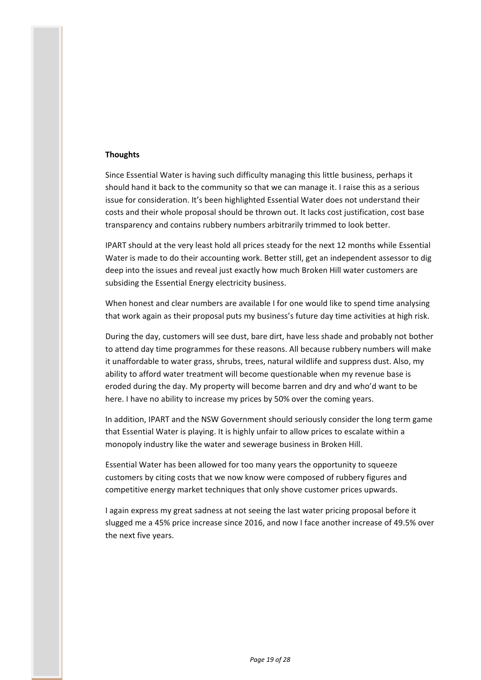## **Thoughts**

Since Essential Water is having such difficulty managing this little business, perhaps it should hand it back to the community so that we can manage it. I raise this as a serious issue for consideration. It's been highlighted Essential Water does not understand their costs and their whole proposal should be thrown out. It lacks cost justification, cost base transparency and contains rubbery numbers arbitrarily trimmed to look better.

IPART should at the very least hold all prices steady for the next 12 months while Essential Water is made to do their accounting work. Better still, get an independent assessor to dig deep into the issues and reveal just exactly how much Broken Hill water customers are subsiding the Essential Energy electricity business.

When honest and clear numbers are available I for one would like to spend time analysing that work again as their proposal puts my business's future day time activities at high risk.

During the day, customers will see dust, bare dirt, have less shade and probably not bother to attend day time programmes for these reasons. All because rubbery numbers will make it unaffordable to water grass, shrubs, trees, natural wildlife and suppress dust. Also, my ability to afford water treatment will become questionable when my revenue base is eroded during the day. My property will become barren and dry and who'd want to be here. I have no ability to increase my prices by 50% over the coming years.

In addition, IPART and the NSW Government should seriously consider the long term game that Essential Water is playing. It is highly unfair to allow prices to escalate within a monopoly industry like the water and sewerage business in Broken Hill.

Essential Water has been allowed for too many years the opportunity to squeeze customers by citing costs that we now know were composed of rubbery figures and competitive energy market techniques that only shove customer prices upwards.

I again express my great sadness at not seeing the last water pricing proposal before it slugged me a 45% price increase since 2016, and now I face another increase of 49.5% over the next five years.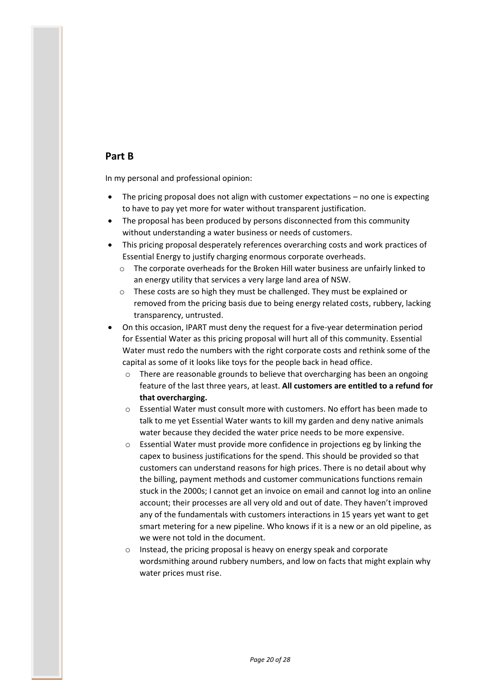# **Part B**

In my personal and professional opinion:

- The pricing proposal does not align with customer expectations no one is expecting to have to pay yet more for water without transparent justification.
- The proposal has been produced by persons disconnected from this community without understanding a water business or needs of customers.
- This pricing proposal desperately references overarching costs and work practices of Essential Energy to justify charging enormous corporate overheads.
	- o The corporate overheads for the Broken Hill water business are unfairly linked to an energy utility that services a very large land area of NSW.
	- o These costs are so high they must be challenged. They must be explained or removed from the pricing basis due to being energy related costs, rubbery, lacking transparency, untrusted.
- On this occasion, IPART must deny the request for a five-year determination period for Essential Water as this pricing proposal will hurt all of this community. Essential Water must redo the numbers with the right corporate costs and rethink some of the capital as some of it looks like toys for the people back in head office.
	- $\circ$  There are reasonable grounds to believe that overcharging has been an ongoing feature of the last three years, at least. **All customers are entitled to a refund for that overcharging.**
	- o Essential Water must consult more with customers. No effort has been made to talk to me yet Essential Water wants to kill my garden and deny native animals water because they decided the water price needs to be more expensive.
	- o Essential Water must provide more confidence in projections eg by linking the capex to business justifications for the spend. This should be provided so that customers can understand reasons for high prices. There is no detail about why the billing, payment methods and customer communications functions remain stuck in the 2000s; I cannot get an invoice on email and cannot log into an online account; their processes are all very old and out of date. They haven't improved any of the fundamentals with customers interactions in 15 years yet want to get smart metering for a new pipeline. Who knows if it is a new or an old pipeline, as we were not told in the document.
	- o Instead, the pricing proposal is heavy on energy speak and corporate wordsmithing around rubbery numbers, and low on facts that might explain why water prices must rise.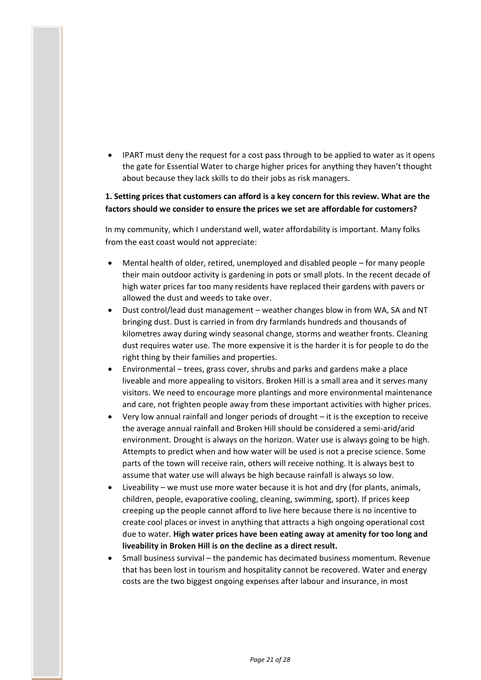IPART must deny the request for a cost pass through to be applied to water as it opens the gate for Essential Water to charge higher prices for anything they haven't thought about because they lack skills to do their jobs as risk managers.

# **1. Setting prices that customers can afford is a key concern for this review. What are the factors should we consider to ensure the prices we set are affordable for customers?**

In my community, which I understand well, water affordability is important. Many folks from the east coast would not appreciate:

- Mental health of older, retired, unemployed and disabled people for many people their main outdoor activity is gardening in pots or small plots. In the recent decade of high water prices far too many residents have replaced their gardens with pavers or allowed the dust and weeds to take over.
- Dust control/lead dust management weather changes blow in from WA, SA and NT bringing dust. Dust is carried in from dry farmlands hundreds and thousands of kilometres away during windy seasonal change, storms and weather fronts. Cleaning dust requires water use. The more expensive it is the harder it is for people to do the right thing by their families and properties.
- Environmental trees, grass cover, shrubs and parks and gardens make a place liveable and more appealing to visitors. Broken Hill is a small area and it serves many visitors. We need to encourage more plantings and more environmental maintenance and care, not frighten people away from these important activities with higher prices.
- Very low annual rainfall and longer periods of drought it is the exception to receive the average annual rainfall and Broken Hill should be considered a semi-arid/arid environment. Drought is always on the horizon. Water use is always going to be high. Attempts to predict when and how water will be used is not a precise science. Some parts of the town will receive rain, others will receive nothing. It is always best to assume that water use will always be high because rainfall is always so low.
- Liveability we must use more water because it is hot and dry (for plants, animals, children, people, evaporative cooling, cleaning, swimming, sport). If prices keep creeping up the people cannot afford to live here because there is no incentive to create cool places or invest in anything that attracts a high ongoing operational cost due to water. **High water prices have been eating away at amenity for too long and liveability in Broken Hill is on the decline as a direct result.**
- Small business survival the pandemic has decimated business momentum. Revenue that has been lost in tourism and hospitality cannot be recovered. Water and energy costs are the two biggest ongoing expenses after labour and insurance, in most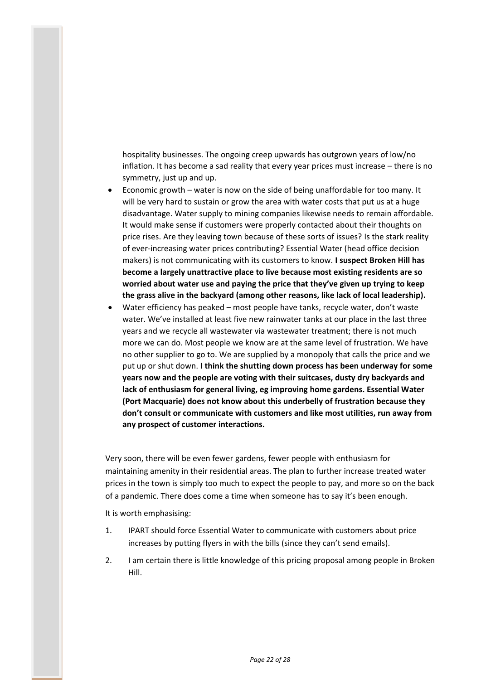hospitality businesses. The ongoing creep upwards has outgrown years of low/no inflation. It has become a sad reality that every year prices must increase – there is no symmetry, just up and up.

- Economic growth water is now on the side of being unaffordable for too many. It will be very hard to sustain or grow the area with water costs that put us at a huge disadvantage. Water supply to mining companies likewise needs to remain affordable. It would make sense if customers were properly contacted about their thoughts on price rises. Are they leaving town because of these sorts of issues? Is the stark reality of ever-increasing water prices contributing? Essential Water (head office decision makers) is not communicating with its customers to know. **I suspect Broken Hill has become a largely unattractive place to live because most existing residents are so worried about water use and paying the price that they've given up trying to keep the grass alive in the backyard (among other reasons, like lack of local leadership).**
- Water efficiency has peaked most people have tanks, recycle water, don't waste water. We've installed at least five new rainwater tanks at our place in the last three years and we recycle all wastewater via wastewater treatment; there is not much more we can do. Most people we know are at the same level of frustration. We have no other supplier to go to. We are supplied by a monopoly that calls the price and we put up or shut down. **I think the shutting down process has been underway for some years now and the people are voting with their suitcases, dusty dry backyards and lack of enthusiasm for general living, eg improving home gardens. Essential Water (Port Macquarie) does not know about this underbelly of frustration because they don't consult or communicate with customers and like most utilities, run away from any prospect of customer interactions.**

Very soon, there will be even fewer gardens, fewer people with enthusiasm for maintaining amenity in their residential areas. The plan to further increase treated water prices in the town is simply too much to expect the people to pay, and more so on the back of a pandemic. There does come a time when someone has to say it's been enough.

It is worth emphasising:

- 1. IPART should force Essential Water to communicate with customers about price increases by putting flyers in with the bills (since they can't send emails).
- 2. I am certain there is little knowledge of this pricing proposal among people in Broken Hill.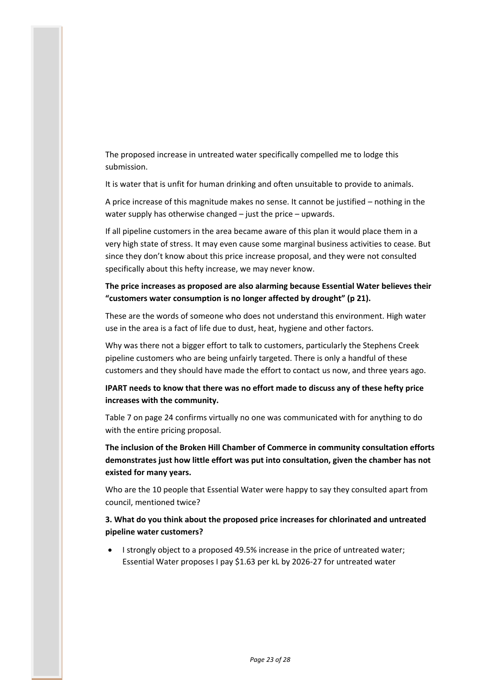The proposed increase in untreated water specifically compelled me to lodge this submission.

It is water that is unfit for human drinking and often unsuitable to provide to animals.

A price increase of this magnitude makes no sense. It cannot be justified – nothing in the water supply has otherwise changed – just the price – upwards.

If all pipeline customers in the area became aware of this plan it would place them in a very high state of stress. It may even cause some marginal business activities to cease. But since they don't know about this price increase proposal, and they were not consulted specifically about this hefty increase, we may never know.

**The price increases as proposed are also alarming because Essential Water believes their "customers water consumption is no longer affected by drought" (p 21).**

These are the words of someone who does not understand this environment. High water use in the area is a fact of life due to dust, heat, hygiene and other factors.

Why was there not a bigger effort to talk to customers, particularly the Stephens Creek pipeline customers who are being unfairly targeted. There is only a handful of these customers and they should have made the effort to contact us now, and three years ago.

**IPART needs to know that there was no effort made to discuss any of these hefty price increases with the community.**

Table 7 on page 24 confirms virtually no one was communicated with for anything to do with the entire pricing proposal.

**The inclusion of the Broken Hill Chamber of Commerce in community consultation efforts demonstrates just how little effort was put into consultation, given the chamber has not existed for many years.**

Who are the 10 people that Essential Water were happy to say they consulted apart from council, mentioned twice?

**3. What do you think about the proposed price increases for chlorinated and untreated pipeline water customers?**

 I strongly object to a proposed 49.5% increase in the price of untreated water; Essential Water proposes I pay \$1.63 per kL by 2026-27 for untreated water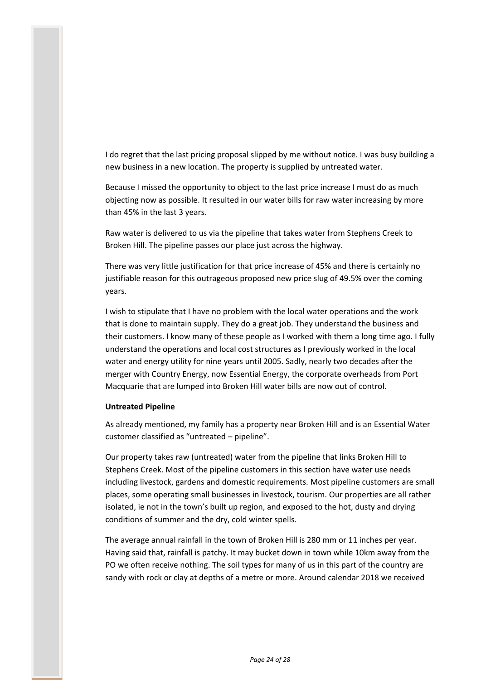I do regret that the last pricing proposal slipped by me without notice. I was busy building a new business in a new location. The property is supplied by untreated water.

Because I missed the opportunity to object to the last price increase I must do as much objecting now as possible. It resulted in our water bills for raw water increasing by more than 45% in the last 3 years.

Raw water is delivered to us via the pipeline that takes water from Stephens Creek to Broken Hill. The pipeline passes our place just across the highway.

There was very little justification for that price increase of 45% and there is certainly no justifiable reason for this outrageous proposed new price slug of 49.5% over the coming years.

I wish to stipulate that I have no problem with the local water operations and the work that is done to maintain supply. They do a great job. They understand the business and their customers. I know many of these people as I worked with them a long time ago. I fully understand the operations and local cost structures as I previously worked in the local water and energy utility for nine years until 2005. Sadly, nearly two decades after the merger with Country Energy, now Essential Energy, the corporate overheads from Port Macquarie that are lumped into Broken Hill water bills are now out of control.

#### **Untreated Pipeline**

As already mentioned, my family has a property near Broken Hill and is an Essential Water customer classified as "untreated – pipeline".

Our property takes raw (untreated) water from the pipeline that links Broken Hill to Stephens Creek. Most of the pipeline customers in this section have water use needs including livestock, gardens and domestic requirements. Most pipeline customers are small places, some operating small businesses in livestock, tourism. Our properties are all rather isolated, ie not in the town's built up region, and exposed to the hot, dusty and drying conditions of summer and the dry, cold winter spells.

The average annual rainfall in the town of Broken Hill is 280 mm or 11 inches per year. Having said that, rainfall is patchy. It may bucket down in town while 10km away from the PO we often receive nothing. The soil types for many of us in this part of the country are sandy with rock or clay at depths of a metre or more. Around calendar 2018 we received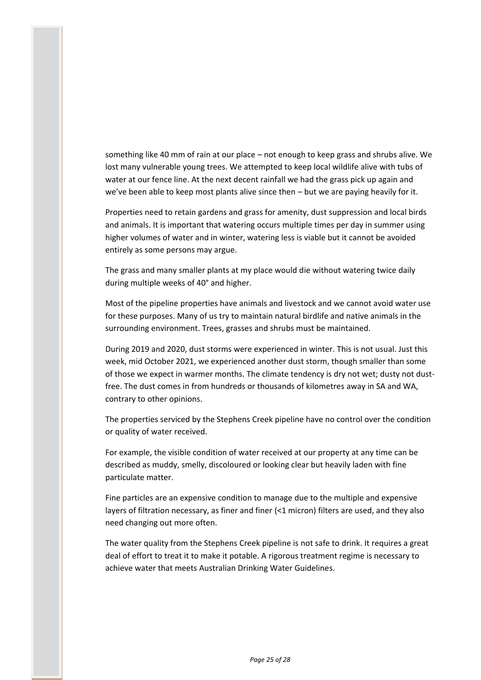something like 40 mm of rain at our place – not enough to keep grass and shrubs alive. We lost many vulnerable young trees. We attempted to keep local wildlife alive with tubs of water at our fence line. At the next decent rainfall we had the grass pick up again and we've been able to keep most plants alive since then – but we are paying heavily for it.

Properties need to retain gardens and grass for amenity, dust suppression and local birds and animals. It is important that watering occurs multiple times per day in summer using higher volumes of water and in winter, watering less is viable but it cannot be avoided entirely as some persons may argue.

The grass and many smaller plants at my place would die without watering twice daily during multiple weeks of 40° and higher.

Most of the pipeline properties have animals and livestock and we cannot avoid water use for these purposes. Many of us try to maintain natural birdlife and native animals in the surrounding environment. Trees, grasses and shrubs must be maintained.

During 2019 and 2020, dust storms were experienced in winter. This is not usual. Just this week, mid October 2021, we experienced another dust storm, though smaller than some of those we expect in warmer months. The climate tendency is dry not wet; dusty not dustfree. The dust comes in from hundreds or thousands of kilometres away in SA and WA, contrary to other opinions.

The properties serviced by the Stephens Creek pipeline have no control over the condition or quality of water received.

For example, the visible condition of water received at our property at any time can be described as muddy, smelly, discoloured or looking clear but heavily laden with fine particulate matter.

Fine particles are an expensive condition to manage due to the multiple and expensive layers of filtration necessary, as finer and finer (<1 micron) filters are used, and they also need changing out more often.

The water quality from the Stephens Creek pipeline is not safe to drink. It requires a great deal of effort to treat it to make it potable. A rigorous treatment regime is necessary to achieve water that meets Australian Drinking Water Guidelines.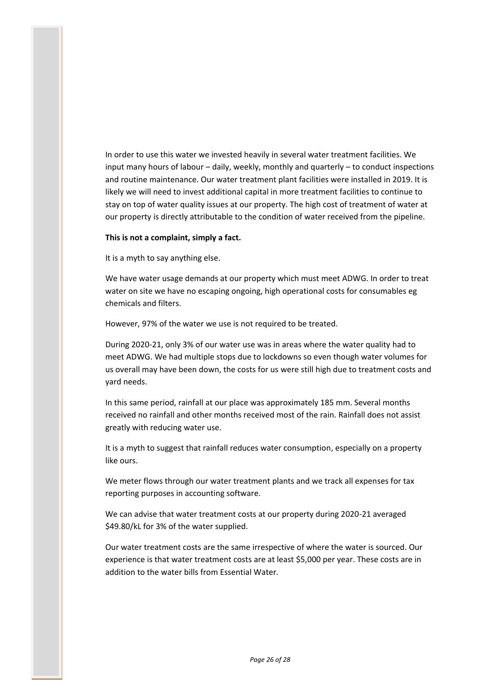In order to use this water we invested heavily in several water treatment facilities. We input many hours of labour – daily, weekly, monthly and quarterly – to conduct inspections and routine maintenance. Our water treatment plant facilities were installed in 2019. It is likely we will need to invest additional capital in more treatment facilities to continue to stay on top of water quality issues at our property. The high cost of treatment of water at our property is directly attributable to the condition of water received from the pipeline.

#### **This is not a complaint, simply a fact.**

It is a myth to say anything else.

We have water usage demands at our property which must meet ADWG. In order to treat water on site we have no escaping ongoing, high operational costs for consumables eg chemicals and filters.

However, 97% of the water we use is not required to be treated.

During 2020-21, only 3% of our water use was in areas where the water quality had to meet ADWG. We had multiple stops due to lockdowns so even though water volumes for us overall may have been down, the costs for us were still high due to treatment costs and yard needs.

In this same period, rainfall at our place was approximately 185 mm. Several months received no rainfall and other months received most of the rain. Rainfall does not assist greatly with reducing water use.

It is a myth to suggest that rainfall reduces water consumption, especially on a property like ours.

We meter flows through our water treatment plants and we track all expenses for tax reporting purposes in accounting software.

We can advise that water treatment costs at our property during 2020-21 averaged \$49.80/kL for 3% of the water supplied.

Our water treatment costs are the same irrespective of where the water is sourced. Our experience is that water treatment costs are at least \$5,000 per year. These costs are in addition to the water bills from Essential Water.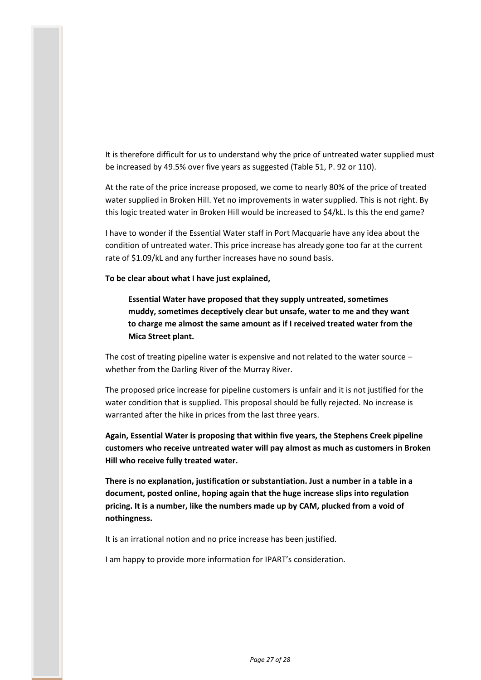It is therefore difficult for us to understand why the price of untreated water supplied must be increased by 49.5% over five years as suggested (Table 51, P. 92 or 110).

At the rate of the price increase proposed, we come to nearly 80% of the price of treated water supplied in Broken Hill. Yet no improvements in water supplied. This is not right. By this logic treated water in Broken Hill would be increased to \$4/kL. Is this the end game?

I have to wonder if the Essential Water staff in Port Macquarie have any idea about the condition of untreated water. This price increase has already gone too far at the current rate of \$1.09/kL and any further increases have no sound basis.

**To be clear about what I have just explained,**

**Essential Water have proposed that they supply untreated, sometimes muddy, sometimes deceptively clear but unsafe, water to me and they want to charge me almost the same amount as if I received treated water from the Mica Street plant.**

The cost of treating pipeline water is expensive and not related to the water source  $$ whether from the Darling River of the Murray River.

The proposed price increase for pipeline customers is unfair and it is not justified for the water condition that is supplied. This proposal should be fully rejected. No increase is warranted after the hike in prices from the last three years.

**Again, Essential Water is proposing that within five years, the Stephens Creek pipeline customers who receive untreated water will pay almost as much as customers in Broken Hill who receive fully treated water.**

**There is no explanation, justification or substantiation. Just a number in a table in a document, posted online, hoping again that the huge increase slips into regulation pricing. It is a number, like the numbers made up by CAM, plucked from a void of nothingness.**

It is an irrational notion and no price increase has been justified.

I am happy to provide more information for IPART's consideration.